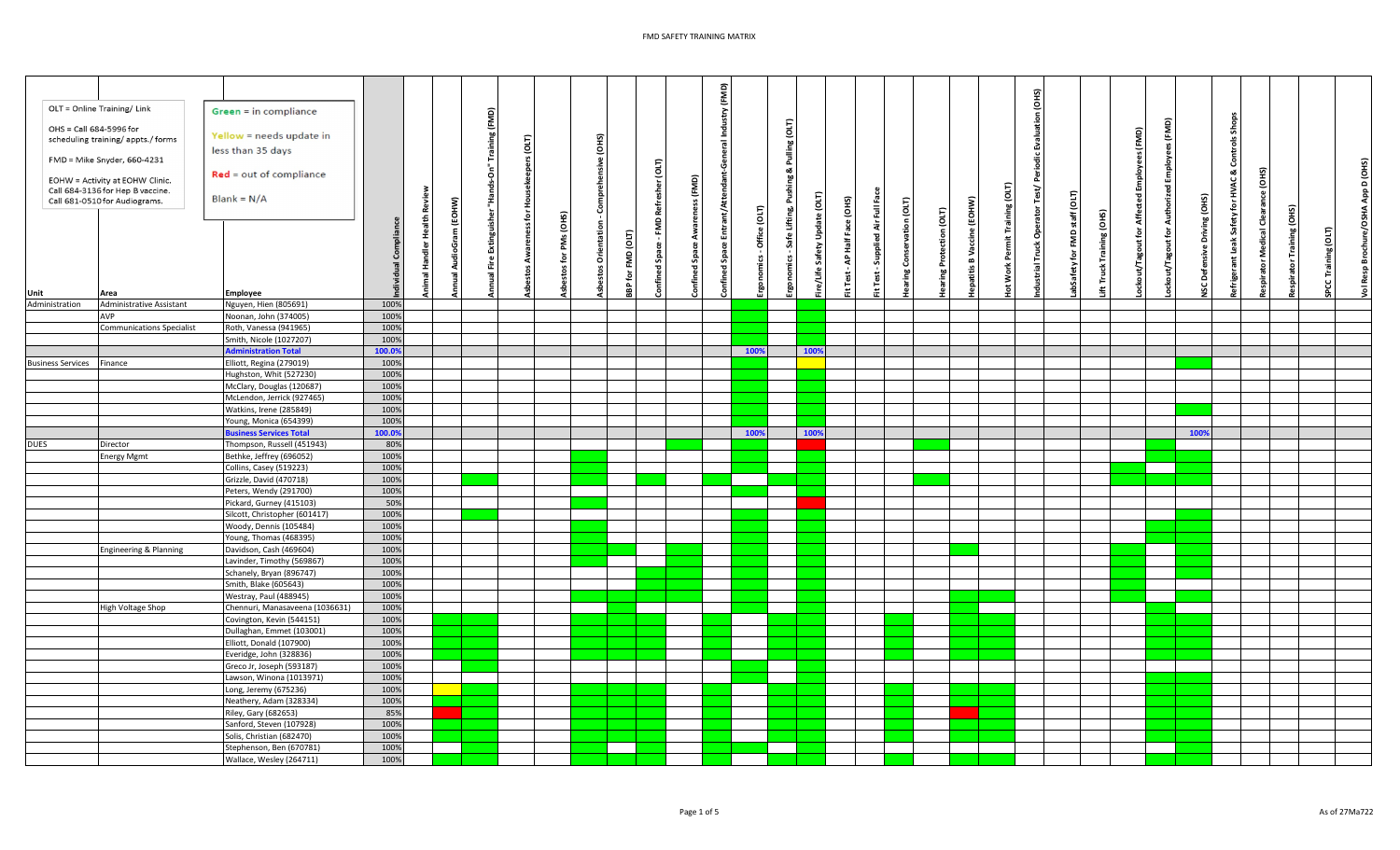## FMD SAFETY TRAINING MATRIX

| OLT = Online Training/ Link<br>OHS = Call 684-5996 for<br>Unit | scheduling training/ appts./ forms<br>FMD = Mike Snyder, 660-4231<br>EOHW = Activity at EOHW Clinic.<br>Call 684-3136 for Hep B vaccine.<br>Call 681-0510 for Audiograms.<br>Area | Green = in compliance<br>Yellow = needs update in<br>less than 35 days<br>$Red = out of compliance$<br>$Blank = N/A$<br><b>Employee</b> | <b>Health Review</b><br>Compliance<br>nimal Har<br>idual | m (EOHW)<br>$\overline{a}$ | nds-On" Training (FMD)<br>£,<br>Extinguisher<br>듵<br>Ē | pers (OLT)<br>울<br>eness for | PMs (OHS)<br>tos for | ehensive (OHS)<br>S<br>Orientation<br>á | (017)<br>FMD<br><b>BP for</b> | Բ<br>흐<br>esher<br>Refi<br>ξ<br>fined<br>e | (FMD)<br>S,<br>Awa<br>š<br>fined<br>Ρ. | nfined Space Entrant/Attendant-General Industry (FMD)<br>fice (OLT)<br>둥<br>rics<br>Ā | Pulling (OLT)<br>Pushing &<br>Safe Lifting,<br>simi | ē<br>ூ<br>nas<br>D<br>⋩<br>Ŝ.<br>s/Life | Face (OHS)<br>흹<br>ਵੈ<br><b>Test</b> | $\bar{\Xi}$<br>दे<br>Supplied<br>Test | vation (OLT)<br>Conser<br>ring | (EOHW)<br>aring Protection (OLT)<br>e<br>dist<br>š<br>$\bf{m}$<br>atitis | Training (OLT)<br>운<br>Work | GнS)<br>$\vec{a}$<br>負 | (OLT)<br>staff<br>$\epsilon$<br>즢 | ift Truck Training (OHS) | ut/Tagout for Affected Employees (FMD) | Authorized Employees (FMD)<br>ckout/Tagout for | Driving (OHS)<br><b>SCDefensive</b> | & Controls Shops<br>for HVAC<br>Safety<br><b>leak</b> | ☎<br>ē<br>ŏ<br>dical | raining (OHS) | Training (OLT)<br>႘ | Brochure/OSHA App D (OHS)<br>VolResp |
|----------------------------------------------------------------|-----------------------------------------------------------------------------------------------------------------------------------------------------------------------------------|-----------------------------------------------------------------------------------------------------------------------------------------|----------------------------------------------------------|----------------------------|--------------------------------------------------------|------------------------------|----------------------|-----------------------------------------|-------------------------------|--------------------------------------------|----------------------------------------|---------------------------------------------------------------------------------------|-----------------------------------------------------|-----------------------------------------|--------------------------------------|---------------------------------------|--------------------------------|--------------------------------------------------------------------------|-----------------------------|------------------------|-----------------------------------|--------------------------|----------------------------------------|------------------------------------------------|-------------------------------------|-------------------------------------------------------|----------------------|---------------|---------------------|--------------------------------------|
| Administration                                                 | Administrative Assistant                                                                                                                                                          | Nguyen, Hien (805691)                                                                                                                   | 100%                                                     |                            |                                                        |                              |                      |                                         |                               |                                            |                                        |                                                                                       |                                                     |                                         |                                      |                                       |                                |                                                                          |                             |                        |                                   |                          |                                        |                                                |                                     |                                                       |                      |               |                     |                                      |
|                                                                | AVP                                                                                                                                                                               | Noonan, John (374005)                                                                                                                   | 100%                                                     |                            |                                                        |                              |                      |                                         |                               |                                            |                                        |                                                                                       |                                                     |                                         |                                      |                                       |                                |                                                                          |                             |                        |                                   |                          |                                        |                                                |                                     |                                                       |                      |               |                     |                                      |
|                                                                | <b>Communications Specialist</b>                                                                                                                                                  | Roth, Vanessa (941965)                                                                                                                  | 100%                                                     |                            |                                                        |                              |                      |                                         |                               |                                            |                                        |                                                                                       |                                                     |                                         |                                      |                                       |                                |                                                                          |                             |                        |                                   |                          |                                        |                                                |                                     |                                                       |                      |               |                     |                                      |
|                                                                |                                                                                                                                                                                   | Smith, Nicole (1027207)                                                                                                                 | 100%                                                     |                            |                                                        |                              |                      |                                         |                               |                                            |                                        |                                                                                       |                                                     |                                         |                                      |                                       |                                |                                                                          |                             |                        |                                   |                          |                                        |                                                |                                     |                                                       |                      |               |                     |                                      |
|                                                                |                                                                                                                                                                                   | <b>Administration Total</b>                                                                                                             | 100.0%                                                   |                            |                                                        |                              |                      |                                         |                               |                                            |                                        | 100%                                                                                  |                                                     | 100%                                    |                                      |                                       |                                |                                                                          |                             |                        |                                   |                          |                                        |                                                |                                     |                                                       |                      |               |                     |                                      |
| <b>Business Services</b>                                       | Finance                                                                                                                                                                           | Elliott, Regina (279019)                                                                                                                | 100%                                                     |                            |                                                        |                              |                      |                                         |                               |                                            |                                        |                                                                                       |                                                     |                                         |                                      |                                       |                                |                                                                          |                             |                        |                                   |                          |                                        |                                                |                                     |                                                       |                      |               |                     |                                      |
|                                                                |                                                                                                                                                                                   | Hughston, Whit (527230)                                                                                                                 | 100%                                                     |                            |                                                        |                              |                      |                                         |                               |                                            |                                        |                                                                                       |                                                     |                                         |                                      |                                       |                                |                                                                          |                             |                        |                                   |                          |                                        |                                                |                                     |                                                       |                      |               |                     |                                      |
|                                                                |                                                                                                                                                                                   | McClary, Douglas (120687)                                                                                                               | 100%                                                     |                            |                                                        |                              |                      |                                         |                               |                                            |                                        |                                                                                       |                                                     |                                         |                                      |                                       |                                |                                                                          |                             |                        |                                   |                          |                                        |                                                |                                     |                                                       |                      |               |                     |                                      |
|                                                                |                                                                                                                                                                                   | McLendon, Jerrick (927465)                                                                                                              | 100%                                                     |                            |                                                        |                              |                      |                                         |                               |                                            |                                        |                                                                                       |                                                     |                                         |                                      |                                       |                                |                                                                          |                             |                        |                                   |                          |                                        |                                                |                                     |                                                       |                      |               |                     |                                      |
|                                                                |                                                                                                                                                                                   | Watkins, Irene (285849)                                                                                                                 | 100%                                                     |                            |                                                        |                              |                      |                                         |                               |                                            |                                        |                                                                                       |                                                     |                                         |                                      |                                       |                                |                                                                          |                             |                        |                                   |                          |                                        |                                                |                                     |                                                       |                      |               |                     |                                      |
|                                                                |                                                                                                                                                                                   | Young, Monica (654399)                                                                                                                  | 100%                                                     |                            |                                                        |                              |                      |                                         |                               |                                            |                                        |                                                                                       |                                                     |                                         |                                      |                                       |                                |                                                                          |                             |                        |                                   |                          |                                        |                                                |                                     |                                                       |                      |               |                     |                                      |
|                                                                |                                                                                                                                                                                   | <b>Business Services Total</b>                                                                                                          | 100.0%                                                   |                            |                                                        |                              |                      |                                         |                               |                                            |                                        | 1009                                                                                  |                                                     | 100%                                    |                                      |                                       |                                |                                                                          |                             |                        |                                   |                          |                                        |                                                | 1009                                |                                                       |                      |               |                     |                                      |
| <b>DUES</b>                                                    | Director                                                                                                                                                                          | Thompson, Russell (451943)                                                                                                              | 80%                                                      |                            |                                                        |                              |                      |                                         |                               |                                            |                                        |                                                                                       |                                                     |                                         |                                      |                                       |                                |                                                                          |                             |                        |                                   |                          |                                        |                                                |                                     |                                                       |                      |               |                     |                                      |
|                                                                | <b>Energy Mgmt</b>                                                                                                                                                                | Bethke, Jeffrey (696052)                                                                                                                | 100%                                                     |                            |                                                        |                              |                      |                                         |                               |                                            |                                        |                                                                                       |                                                     |                                         |                                      |                                       |                                |                                                                          |                             |                        |                                   |                          |                                        |                                                |                                     |                                                       |                      |               |                     |                                      |
|                                                                |                                                                                                                                                                                   | Collins, Casey (519223)                                                                                                                 | 100%                                                     |                            |                                                        |                              |                      |                                         |                               |                                            |                                        |                                                                                       |                                                     |                                         |                                      |                                       |                                |                                                                          |                             |                        |                                   |                          |                                        |                                                |                                     |                                                       |                      |               |                     |                                      |
|                                                                |                                                                                                                                                                                   | Grizzle, David (470718)                                                                                                                 | 100%                                                     |                            |                                                        |                              |                      |                                         |                               |                                            |                                        |                                                                                       |                                                     |                                         |                                      |                                       |                                |                                                                          |                             |                        |                                   |                          |                                        |                                                |                                     |                                                       |                      |               |                     |                                      |
|                                                                |                                                                                                                                                                                   | Peters, Wendy (291700)                                                                                                                  | 100%                                                     |                            |                                                        |                              |                      |                                         |                               |                                            |                                        |                                                                                       |                                                     |                                         |                                      |                                       |                                |                                                                          |                             |                        |                                   |                          |                                        |                                                |                                     |                                                       |                      |               |                     |                                      |
|                                                                |                                                                                                                                                                                   | Pickard, Gurney (415103)                                                                                                                | 50%                                                      |                            |                                                        |                              |                      |                                         |                               |                                            |                                        |                                                                                       |                                                     |                                         |                                      |                                       |                                |                                                                          |                             |                        |                                   |                          |                                        |                                                |                                     |                                                       |                      |               |                     |                                      |
|                                                                |                                                                                                                                                                                   | Silcott, Christopher (601417)                                                                                                           | 100%                                                     |                            |                                                        |                              |                      |                                         |                               |                                            |                                        |                                                                                       |                                                     |                                         |                                      |                                       |                                |                                                                          |                             |                        |                                   |                          |                                        |                                                |                                     |                                                       |                      |               |                     |                                      |
|                                                                |                                                                                                                                                                                   | Woody, Dennis (105484)<br>Young, Thomas (468395)                                                                                        | 100%<br>100%                                             |                            |                                                        |                              |                      |                                         |                               |                                            |                                        |                                                                                       |                                                     |                                         |                                      |                                       |                                |                                                                          |                             |                        |                                   |                          |                                        |                                                |                                     |                                                       |                      |               |                     |                                      |
|                                                                | Engineering & Planning                                                                                                                                                            | Davidson, Cash (469604)                                                                                                                 | 100%                                                     |                            |                                                        |                              |                      |                                         |                               |                                            |                                        |                                                                                       |                                                     |                                         |                                      |                                       |                                |                                                                          |                             |                        |                                   |                          |                                        |                                                |                                     |                                                       |                      |               |                     |                                      |
|                                                                |                                                                                                                                                                                   | Lavinder, Timothy (569867)                                                                                                              | 100%                                                     |                            |                                                        |                              |                      |                                         |                               |                                            |                                        |                                                                                       |                                                     |                                         |                                      |                                       |                                |                                                                          |                             |                        |                                   |                          |                                        |                                                |                                     |                                                       |                      |               |                     |                                      |
|                                                                |                                                                                                                                                                                   | Schanely, Bryan (896747)                                                                                                                | 100%                                                     |                            |                                                        |                              |                      |                                         |                               |                                            |                                        |                                                                                       |                                                     |                                         |                                      |                                       |                                |                                                                          |                             |                        |                                   |                          |                                        |                                                |                                     |                                                       |                      |               |                     |                                      |
|                                                                |                                                                                                                                                                                   | Smith, Blake (605643)                                                                                                                   | 100%                                                     |                            |                                                        |                              |                      |                                         |                               |                                            |                                        |                                                                                       |                                                     |                                         |                                      |                                       |                                |                                                                          |                             |                        |                                   |                          |                                        |                                                |                                     |                                                       |                      |               |                     |                                      |
|                                                                |                                                                                                                                                                                   | Westray, Paul (488945)                                                                                                                  | 100%                                                     |                            |                                                        |                              |                      |                                         |                               |                                            |                                        |                                                                                       |                                                     |                                         |                                      |                                       |                                |                                                                          |                             |                        |                                   |                          |                                        |                                                |                                     |                                                       |                      |               |                     |                                      |
|                                                                | High Voltage Shop                                                                                                                                                                 | Chennuri, Manasaveena (1036631)                                                                                                         | 100%                                                     |                            |                                                        |                              |                      |                                         |                               |                                            |                                        |                                                                                       |                                                     |                                         |                                      |                                       |                                |                                                                          |                             |                        |                                   |                          |                                        |                                                |                                     |                                                       |                      |               |                     |                                      |
|                                                                |                                                                                                                                                                                   | Covington, Kevin (544151)                                                                                                               | 100%                                                     |                            |                                                        |                              |                      |                                         |                               |                                            |                                        |                                                                                       |                                                     |                                         |                                      |                                       |                                |                                                                          |                             |                        |                                   |                          |                                        |                                                |                                     |                                                       |                      |               |                     |                                      |
|                                                                |                                                                                                                                                                                   | Dullaghan, Emmet (103001)                                                                                                               | 100%                                                     |                            |                                                        |                              |                      |                                         |                               |                                            |                                        |                                                                                       |                                                     |                                         |                                      |                                       |                                |                                                                          |                             |                        |                                   |                          |                                        |                                                |                                     |                                                       |                      |               |                     |                                      |
|                                                                |                                                                                                                                                                                   | Elliott, Donald (107900)                                                                                                                | 100%                                                     |                            |                                                        |                              |                      |                                         |                               |                                            |                                        |                                                                                       |                                                     |                                         |                                      |                                       |                                |                                                                          |                             |                        |                                   |                          |                                        |                                                |                                     |                                                       |                      |               |                     |                                      |
|                                                                |                                                                                                                                                                                   | Everidge, John (328836)                                                                                                                 | 100%                                                     |                            |                                                        |                              |                      |                                         |                               |                                            |                                        |                                                                                       |                                                     |                                         |                                      |                                       |                                |                                                                          |                             |                        |                                   |                          |                                        |                                                |                                     |                                                       |                      |               |                     |                                      |
|                                                                |                                                                                                                                                                                   | Greco Jr, Joseph (593187)                                                                                                               | 100%                                                     |                            |                                                        |                              |                      |                                         |                               |                                            |                                        |                                                                                       |                                                     |                                         |                                      |                                       |                                |                                                                          |                             |                        |                                   |                          |                                        |                                                |                                     |                                                       |                      |               |                     |                                      |
|                                                                |                                                                                                                                                                                   | Lawson, Winona (1013971)                                                                                                                | 100%                                                     |                            |                                                        |                              |                      |                                         |                               |                                            |                                        |                                                                                       |                                                     |                                         |                                      |                                       |                                |                                                                          |                             |                        |                                   |                          |                                        |                                                |                                     |                                                       |                      |               |                     |                                      |
|                                                                |                                                                                                                                                                                   | Long, Jeremy (675236)                                                                                                                   | 100%                                                     |                            |                                                        |                              |                      |                                         |                               |                                            |                                        |                                                                                       |                                                     |                                         |                                      |                                       |                                |                                                                          |                             |                        |                                   |                          |                                        |                                                |                                     |                                                       |                      |               |                     |                                      |
|                                                                |                                                                                                                                                                                   | Neathery, Adam (328334)                                                                                                                 | 100%                                                     |                            |                                                        |                              |                      |                                         |                               |                                            |                                        |                                                                                       |                                                     |                                         |                                      |                                       |                                |                                                                          |                             |                        |                                   |                          |                                        |                                                |                                     |                                                       |                      |               |                     |                                      |
|                                                                |                                                                                                                                                                                   | Riley, Gary (682653)                                                                                                                    | 85%                                                      |                            |                                                        |                              |                      |                                         |                               |                                            |                                        |                                                                                       |                                                     |                                         |                                      |                                       |                                |                                                                          |                             |                        |                                   |                          |                                        |                                                |                                     |                                                       |                      |               |                     |                                      |
|                                                                |                                                                                                                                                                                   | Sanford, Steven (107928)                                                                                                                | 100%                                                     |                            |                                                        |                              |                      |                                         |                               |                                            |                                        |                                                                                       |                                                     |                                         |                                      |                                       |                                |                                                                          |                             |                        |                                   |                          |                                        |                                                |                                     |                                                       |                      |               |                     |                                      |
|                                                                |                                                                                                                                                                                   | Solis, Christian (682470)                                                                                                               | 100%                                                     |                            |                                                        |                              |                      |                                         |                               |                                            |                                        |                                                                                       |                                                     |                                         |                                      |                                       |                                |                                                                          |                             |                        |                                   |                          |                                        |                                                |                                     |                                                       |                      |               |                     |                                      |
|                                                                |                                                                                                                                                                                   | Stephenson, Ben (670781)                                                                                                                | 100%                                                     |                            |                                                        |                              |                      |                                         |                               |                                            |                                        |                                                                                       |                                                     |                                         |                                      |                                       |                                |                                                                          |                             |                        |                                   |                          |                                        |                                                |                                     |                                                       |                      |               |                     |                                      |
|                                                                |                                                                                                                                                                                   | Wallace, Wesley (264711)                                                                                                                | 100%                                                     |                            |                                                        |                              |                      |                                         |                               |                                            |                                        |                                                                                       |                                                     |                                         |                                      |                                       |                                |                                                                          |                             |                        |                                   |                          |                                        |                                                |                                     |                                                       |                      |               |                     |                                      |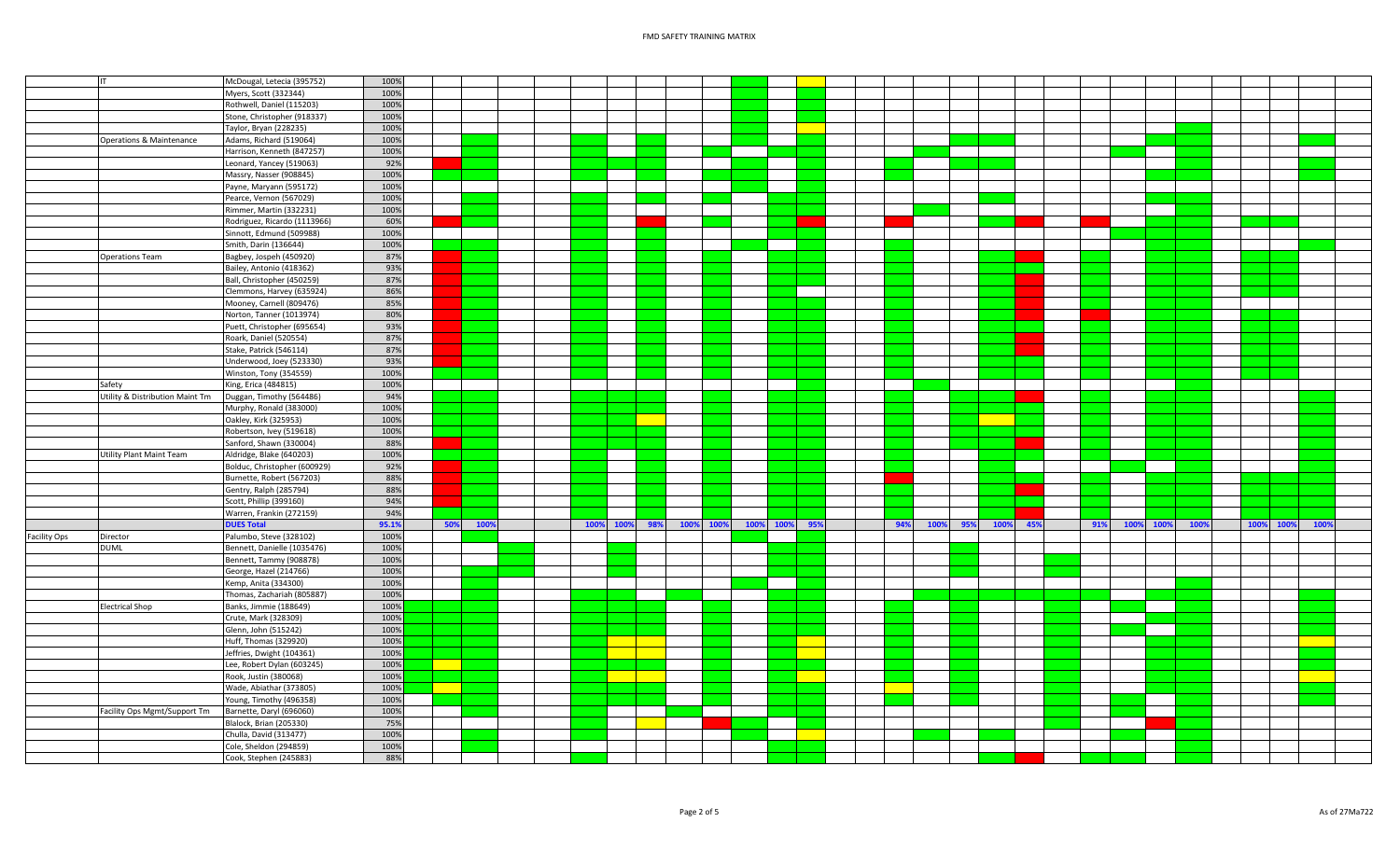|                     | IT                              | McDougal, Letecia (395752)   | 100%  |     |      |  |           |     |           |  |               |     |      |     |      |     |     |           |      |      |      |      |  |
|---------------------|---------------------------------|------------------------------|-------|-----|------|--|-----------|-----|-----------|--|---------------|-----|------|-----|------|-----|-----|-----------|------|------|------|------|--|
|                     |                                 | Myers, Scott (332344)        | 100%  |     |      |  |           |     |           |  |               |     |      |     |      |     |     |           |      |      |      |      |  |
|                     |                                 | Rothwell, Daniel (115203)    | 100%  |     |      |  |           |     |           |  |               |     |      |     |      |     |     |           |      |      |      |      |  |
|                     |                                 | Stone, Christopher (918337)  | 100%  |     |      |  |           |     |           |  |               |     |      |     |      |     |     |           |      |      |      |      |  |
|                     |                                 | Taylor, Bryan (228235)       | 100%  |     |      |  |           |     |           |  |               |     |      |     |      |     |     |           |      |      |      |      |  |
|                     |                                 | Adams, Richard (519064)      | 100%  |     |      |  |           |     |           |  |               |     |      |     |      |     |     |           |      |      |      |      |  |
|                     | Operations & Maintenance        |                              |       |     |      |  |           |     |           |  |               |     |      |     |      |     |     |           |      |      |      |      |  |
|                     |                                 | Harrison, Kenneth (847257)   | 100%  |     |      |  |           |     |           |  |               |     |      |     |      |     |     |           |      |      |      |      |  |
|                     |                                 | Leonard, Yancey (519063)     | 92%   |     |      |  |           |     |           |  |               |     |      |     |      |     |     |           |      |      |      |      |  |
|                     |                                 | Massry, Nasser (908845)      | 100%  |     |      |  |           |     |           |  |               |     |      |     |      |     |     |           |      |      |      |      |  |
|                     |                                 | Payne, Maryann (595172)      | 100%  |     |      |  |           |     |           |  |               |     |      |     |      |     |     |           |      |      |      |      |  |
|                     |                                 | Pearce, Vernon (567029)      | 100%  |     |      |  |           |     |           |  |               |     |      |     |      |     |     |           |      |      |      |      |  |
|                     |                                 | Rimmer, Martin (332231)      | 100%  |     |      |  |           |     |           |  |               |     |      |     |      |     |     |           |      |      |      |      |  |
|                     |                                 |                              | 60%   |     |      |  |           |     |           |  |               |     |      |     |      |     |     |           |      |      |      |      |  |
|                     |                                 | Rodriguez, Ricardo (1113966) |       |     |      |  |           |     |           |  |               |     |      |     |      |     |     |           |      |      |      |      |  |
|                     |                                 | Sinnott, Edmund (509988)     | 100%  |     |      |  |           |     |           |  |               |     |      |     |      |     |     |           |      |      |      |      |  |
|                     |                                 | Smith, Darin (136644)        | 100%  |     |      |  |           |     |           |  |               |     |      |     |      |     |     |           |      |      |      |      |  |
|                     | Operations Team                 | Bagbey, Jospeh (450920)      | 87%   |     |      |  |           |     |           |  |               |     |      |     |      |     |     |           |      |      |      |      |  |
|                     |                                 | Bailey, Antonio (418362)     | 93%   |     |      |  |           |     |           |  |               |     |      |     |      |     |     |           |      |      |      |      |  |
|                     |                                 | Ball, Christopher (450259)   | 87%   |     |      |  |           |     |           |  |               |     |      |     |      |     |     |           |      |      |      |      |  |
|                     |                                 | Clemmons, Harvey (635924)    | 86%   |     |      |  |           |     |           |  |               |     |      |     |      |     |     |           |      |      |      |      |  |
|                     |                                 | Mooney, Carnell (809476)     | 85%   |     |      |  |           |     |           |  |               |     |      |     |      |     |     |           |      |      |      |      |  |
|                     |                                 | Norton, Tanner (1013974)     | 80%   |     |      |  |           |     |           |  |               |     |      |     |      |     |     |           |      |      |      |      |  |
|                     |                                 |                              |       |     |      |  |           |     |           |  |               |     |      |     |      |     |     |           |      |      |      |      |  |
|                     |                                 | Puett, Christopher (695654)  | 93%   |     |      |  |           |     |           |  |               |     |      |     |      |     |     |           |      |      |      |      |  |
|                     |                                 | Roark, Daniel (520554)       | 87%   |     |      |  |           |     |           |  |               |     |      |     |      |     |     |           |      |      |      |      |  |
|                     |                                 | Stake, Patrick (546114)      | 87%   |     |      |  |           |     |           |  |               |     |      |     |      |     |     |           |      |      |      |      |  |
|                     |                                 | Underwood, Joey (523330)     | 93%   |     |      |  |           |     |           |  |               |     |      |     |      |     |     |           |      |      |      |      |  |
|                     |                                 | Winston, Tony (354559)       | 100%  |     |      |  |           |     |           |  |               |     |      |     |      |     |     |           |      |      |      |      |  |
|                     | Safety                          | King, Erica (484815)         | 100%  |     |      |  |           |     |           |  |               |     |      |     |      |     |     |           |      |      |      |      |  |
|                     | Utility & Distribution Maint Tm | Duggan, Timothy (564486)     | 94%   |     |      |  |           |     |           |  |               |     |      |     |      |     |     |           |      |      |      |      |  |
|                     |                                 | Murphy, Ronald (383000)      | 100%  |     |      |  |           |     |           |  |               |     |      |     |      |     |     |           |      |      |      |      |  |
|                     |                                 | Oakley, Kirk (325953)        | 100%  |     |      |  |           |     |           |  |               |     |      |     |      |     |     |           |      |      |      |      |  |
|                     |                                 |                              |       |     |      |  |           |     |           |  |               |     |      |     |      |     |     |           |      |      |      |      |  |
|                     |                                 | Robertson, Ivey (519618)     | 100%  |     |      |  |           |     |           |  |               |     |      |     |      |     |     |           |      |      |      |      |  |
|                     |                                 | Sanford, Shawn (330004)      | 88%   |     |      |  |           |     |           |  |               |     |      |     |      |     |     |           |      |      |      |      |  |
|                     | Utility Plant Maint Team        | Aldridge, Blake (640203)     | 100%  |     |      |  |           |     |           |  |               |     |      |     |      |     |     |           |      |      |      |      |  |
|                     |                                 | Bolduc, Christopher (600929) | 92%   |     |      |  |           |     |           |  |               |     |      |     |      |     |     |           |      |      |      |      |  |
|                     |                                 | Burnette, Robert (567203     | 88%   |     |      |  |           |     |           |  |               |     |      |     |      |     |     |           |      |      |      |      |  |
|                     |                                 | Gentry, Ralph (285794)       | 88%   |     |      |  |           |     |           |  |               |     |      |     |      |     |     |           |      |      |      |      |  |
|                     |                                 | Scott, Phillip (399160)      | 94%   |     |      |  |           |     |           |  |               |     |      |     |      |     |     |           |      |      |      |      |  |
|                     |                                 | Warren, Frankin (272159)     | 94%   |     |      |  |           |     |           |  |               |     |      |     |      |     |     |           |      |      |      |      |  |
|                     |                                 |                              |       |     |      |  |           |     |           |  |               |     |      |     |      |     |     |           |      |      |      |      |  |
|                     |                                 | <b>DUES Total</b>            | 95.1% | 50% | 100% |  | 100% 100% | 98% | 100% 100% |  | 100% 100% 95% | 94% | 100% | 95% | 100% | 45% | 91% | 100% 100% | 100% | 100% | 100% | 1009 |  |
| <b>Facility Ops</b> | Director                        | Palumbo, Steve (328102)      | 100%  |     |      |  |           |     |           |  |               |     |      |     |      |     |     |           |      |      |      |      |  |
|                     | <b>DUML</b>                     | Bennett, Danielle (1035476)  | 100%  |     |      |  |           |     |           |  |               |     |      |     |      |     |     |           |      |      |      |      |  |
|                     |                                 | Bennett, Tammy (908878)      | 100%  |     |      |  |           |     |           |  |               |     |      |     |      |     |     |           |      |      |      |      |  |
|                     |                                 | George, Hazel (214766)       | 100%  |     |      |  |           |     |           |  |               |     |      |     |      |     |     |           |      |      |      |      |  |
|                     |                                 | Kemp, Anita (334300)         | 100%  |     |      |  |           |     |           |  |               |     |      |     |      |     |     |           |      |      |      |      |  |
|                     |                                 | Thomas, Zachariah (805887)   | 100%  |     |      |  |           |     |           |  |               |     |      |     |      |     |     |           |      |      |      |      |  |
|                     | <b>Electrical Shop</b>          | Banks, Jimmie (188649)       | 100%  |     |      |  |           |     |           |  |               |     |      |     |      |     |     |           |      |      |      |      |  |
|                     |                                 | Crute, Mark (328309)         | 100%  |     |      |  |           |     |           |  |               |     |      |     |      |     |     |           |      |      |      |      |  |
|                     |                                 | Glenn, John (515242)         | 100%  |     |      |  |           |     |           |  |               |     |      |     |      |     |     |           |      |      |      |      |  |
|                     |                                 |                              |       |     |      |  |           |     |           |  |               |     |      |     |      |     |     |           |      |      |      |      |  |
|                     |                                 | Huff, Thomas (329920)        | 100%  |     |      |  |           |     |           |  |               |     |      |     |      |     |     |           |      |      |      |      |  |
|                     |                                 | Jeffries, Dwight (104361)    | 100%  |     |      |  |           |     |           |  |               |     |      |     |      |     |     |           |      |      |      |      |  |
|                     |                                 | Lee, Robert Dylan (603245)   | 100%  |     |      |  |           |     |           |  |               |     |      |     |      |     |     |           |      |      |      |      |  |
|                     |                                 | Rook, Justin (380068)        | 100%  |     |      |  |           |     |           |  |               |     |      |     |      |     |     |           |      |      |      |      |  |
|                     |                                 | Wade, Abiathar (373805)      | 100%  |     |      |  |           |     |           |  |               |     |      |     |      |     |     |           |      |      |      |      |  |
|                     |                                 | Young, Timothy (496358)      | 100%  |     |      |  |           |     |           |  |               |     |      |     |      |     |     |           |      |      |      |      |  |
|                     | Facility Ops Mgmt/Support Tm    | Barnette, Daryl (696060)     | 100%  |     |      |  |           |     |           |  |               |     |      |     |      |     |     |           |      |      |      |      |  |
|                     |                                 | Blalock, Brian (205330)      | 75%   |     |      |  |           |     |           |  |               |     |      |     |      |     |     |           |      |      |      |      |  |
|                     |                                 |                              | 100%  |     |      |  |           |     |           |  |               |     |      |     |      |     |     |           |      |      |      |      |  |
|                     |                                 | Chulla, David (313477)       |       |     |      |  |           |     |           |  |               |     |      |     |      |     |     |           |      |      |      |      |  |
|                     |                                 | Cole, Sheldon (294859)       | 100%  |     |      |  |           |     |           |  |               |     |      |     |      |     |     |           |      |      |      |      |  |
|                     |                                 | Cook, Stephen (245883)       | 88%   |     |      |  |           |     |           |  |               |     |      |     |      |     |     |           |      |      |      |      |  |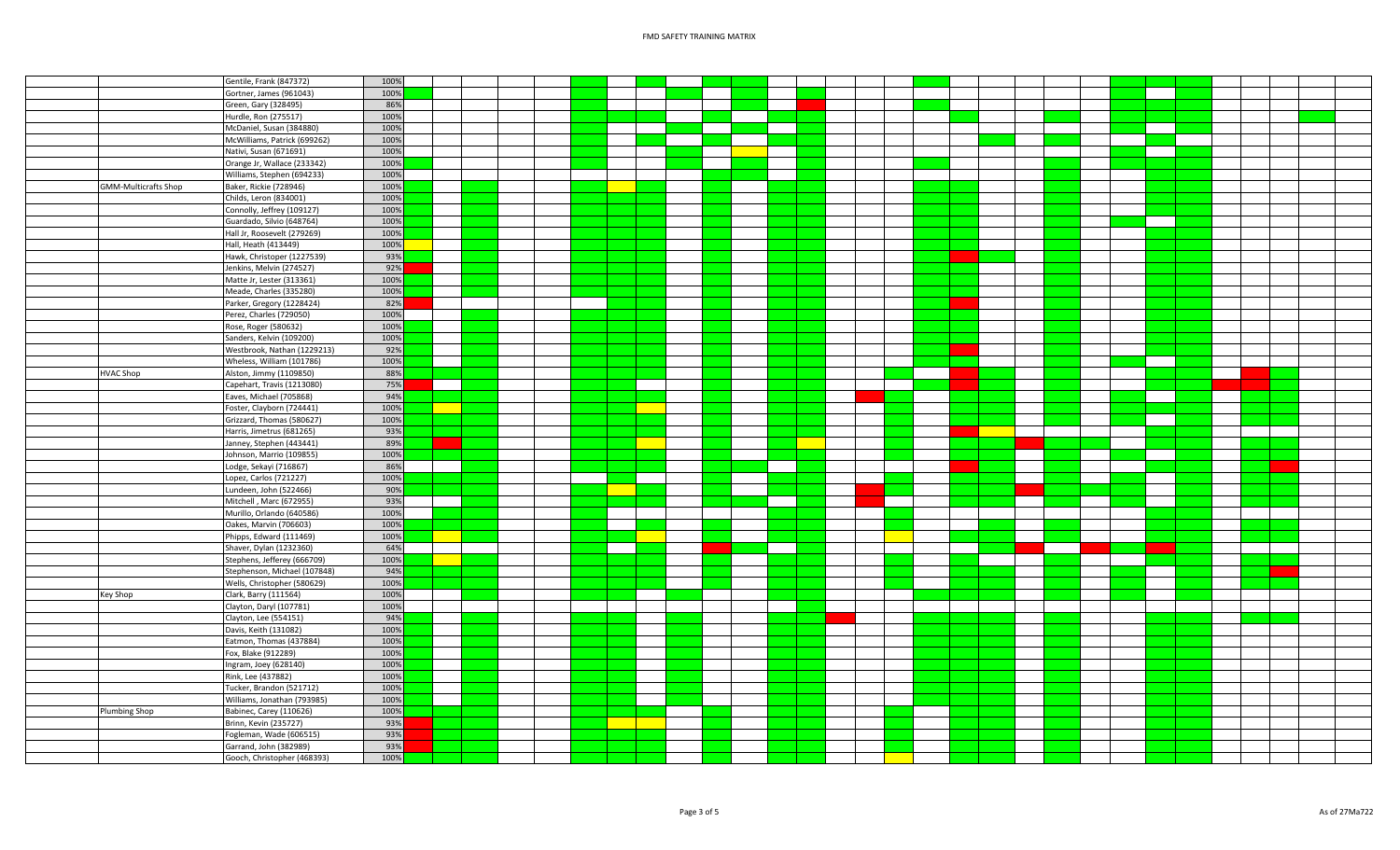| Gentile, Frank (847372)                               | 100% |  |  |  |  |  |  |  |  |  |  |
|-------------------------------------------------------|------|--|--|--|--|--|--|--|--|--|--|
|                                                       |      |  |  |  |  |  |  |  |  |  |  |
| Gortner, James (961043)                               | 100% |  |  |  |  |  |  |  |  |  |  |
| Green, Gary (328495)                                  | 86%  |  |  |  |  |  |  |  |  |  |  |
| Hurdle, Ron (275517)                                  | 100% |  |  |  |  |  |  |  |  |  |  |
| McDaniel, Susan (384880)                              | 100% |  |  |  |  |  |  |  |  |  |  |
| McWilliams, Patrick (699262)                          | 100% |  |  |  |  |  |  |  |  |  |  |
| Nativi, Susan (671691)                                | 100% |  |  |  |  |  |  |  |  |  |  |
| Orange Jr, Wallace (233342)                           | 100% |  |  |  |  |  |  |  |  |  |  |
| Williams, Stephen (694233)                            | 100% |  |  |  |  |  |  |  |  |  |  |
| Baker, Rickie (728946)<br><b>GMM-Multicrafts Shop</b> | 100% |  |  |  |  |  |  |  |  |  |  |
| Childs, Leron (834001)                                | 100% |  |  |  |  |  |  |  |  |  |  |
|                                                       | 100% |  |  |  |  |  |  |  |  |  |  |
| Connolly, Jeffrey (109127)                            |      |  |  |  |  |  |  |  |  |  |  |
| Guardado, Silvio (648764)                             | 100% |  |  |  |  |  |  |  |  |  |  |
| Hall Jr, Roosevelt (279269)                           | 100% |  |  |  |  |  |  |  |  |  |  |
| Hall, Heath (413449)                                  | 100% |  |  |  |  |  |  |  |  |  |  |
| Hawk, Christoper (1227539)                            | 93%  |  |  |  |  |  |  |  |  |  |  |
| Jenkins, Melvin (274527)                              | 92%  |  |  |  |  |  |  |  |  |  |  |
| Matte Jr, Lester (313361)                             | 100% |  |  |  |  |  |  |  |  |  |  |
| Meade, Charles (335280)                               | 100% |  |  |  |  |  |  |  |  |  |  |
| Parker, Gregory (1228424)                             | 82%  |  |  |  |  |  |  |  |  |  |  |
| Perez, Charles (729050)                               | 100% |  |  |  |  |  |  |  |  |  |  |
| Rose, Roger (580632)                                  | 100% |  |  |  |  |  |  |  |  |  |  |
| Sanders, Kelvin (109200)                              | 100% |  |  |  |  |  |  |  |  |  |  |
|                                                       | 92%  |  |  |  |  |  |  |  |  |  |  |
| Westbrook, Nathan (1229213)                           |      |  |  |  |  |  |  |  |  |  |  |
| Wheless, William (101786)                             | 100% |  |  |  |  |  |  |  |  |  |  |
| Alston, Jimmy (1109850)<br><b>HVAC Shop</b>           | 88%  |  |  |  |  |  |  |  |  |  |  |
| Capehart, Travis (1213080)                            | 75%  |  |  |  |  |  |  |  |  |  |  |
| Eaves, Michael (705868)                               | 94%  |  |  |  |  |  |  |  |  |  |  |
| Foster, Clayborn (724441)                             | 100% |  |  |  |  |  |  |  |  |  |  |
| Grizzard, Thomas (580627)                             | 100% |  |  |  |  |  |  |  |  |  |  |
| Harris, Jimetrus (681265)                             | 93%  |  |  |  |  |  |  |  |  |  |  |
| Janney, Stephen (443441)                              | 89%  |  |  |  |  |  |  |  |  |  |  |
| Johnson, Marrio (109855)                              | 100% |  |  |  |  |  |  |  |  |  |  |
| Lodge, Sekayi (716867)                                | 86%  |  |  |  |  |  |  |  |  |  |  |
| Lopez, Carlos (721227)                                | 100% |  |  |  |  |  |  |  |  |  |  |
| Lundeen, John (522466)                                | 90%  |  |  |  |  |  |  |  |  |  |  |
|                                                       |      |  |  |  |  |  |  |  |  |  |  |
| Mitchell, Marc (672955)                               | 93%  |  |  |  |  |  |  |  |  |  |  |
| Murillo, Orlando (640586)                             | 100% |  |  |  |  |  |  |  |  |  |  |
| Oakes, Marvin (706603)                                | 100% |  |  |  |  |  |  |  |  |  |  |
| Phipps, Edward (111469)                               | 100% |  |  |  |  |  |  |  |  |  |  |
| Shaver, Dylan (1232360)                               | 64%  |  |  |  |  |  |  |  |  |  |  |
| Stephens, Jefferey (666709)                           | 100% |  |  |  |  |  |  |  |  |  |  |
| Stephenson, Michael (107848)                          | 94%  |  |  |  |  |  |  |  |  |  |  |
| Wells, Christopher (580629)                           | 100% |  |  |  |  |  |  |  |  |  |  |
| Key Shop<br>Clark, Barry (111564)                     | 100% |  |  |  |  |  |  |  |  |  |  |
| Clayton, Daryl (107781)                               | 100% |  |  |  |  |  |  |  |  |  |  |
| Clayton, Lee (554151)                                 | 94%  |  |  |  |  |  |  |  |  |  |  |
| Davis, Keith (131082)                                 | 100% |  |  |  |  |  |  |  |  |  |  |
| Eatmon, Thomas (437884)                               | 100% |  |  |  |  |  |  |  |  |  |  |
| Fox, Blake (912289)                                   | 100% |  |  |  |  |  |  |  |  |  |  |
|                                                       | 100% |  |  |  |  |  |  |  |  |  |  |
| Ingram, Joey (628140)                                 |      |  |  |  |  |  |  |  |  |  |  |
| Rink, Lee (437882)                                    | 100% |  |  |  |  |  |  |  |  |  |  |
| Tucker, Brandon (521712)                              | 100% |  |  |  |  |  |  |  |  |  |  |
| Williams, Jonathan (793985)                           | 100% |  |  |  |  |  |  |  |  |  |  |
| Plumbing Shop<br>Babinec, Carey (110626)              | 100% |  |  |  |  |  |  |  |  |  |  |
| Brinn, Kevin (235727)                                 | 93%  |  |  |  |  |  |  |  |  |  |  |
| Fogleman, Wade (606515)                               | 93%  |  |  |  |  |  |  |  |  |  |  |
| Garrand, John (382989)                                | 93%  |  |  |  |  |  |  |  |  |  |  |
| Gooch, Christopher (468393)                           | 100% |  |  |  |  |  |  |  |  |  |  |
|                                                       |      |  |  |  |  |  |  |  |  |  |  |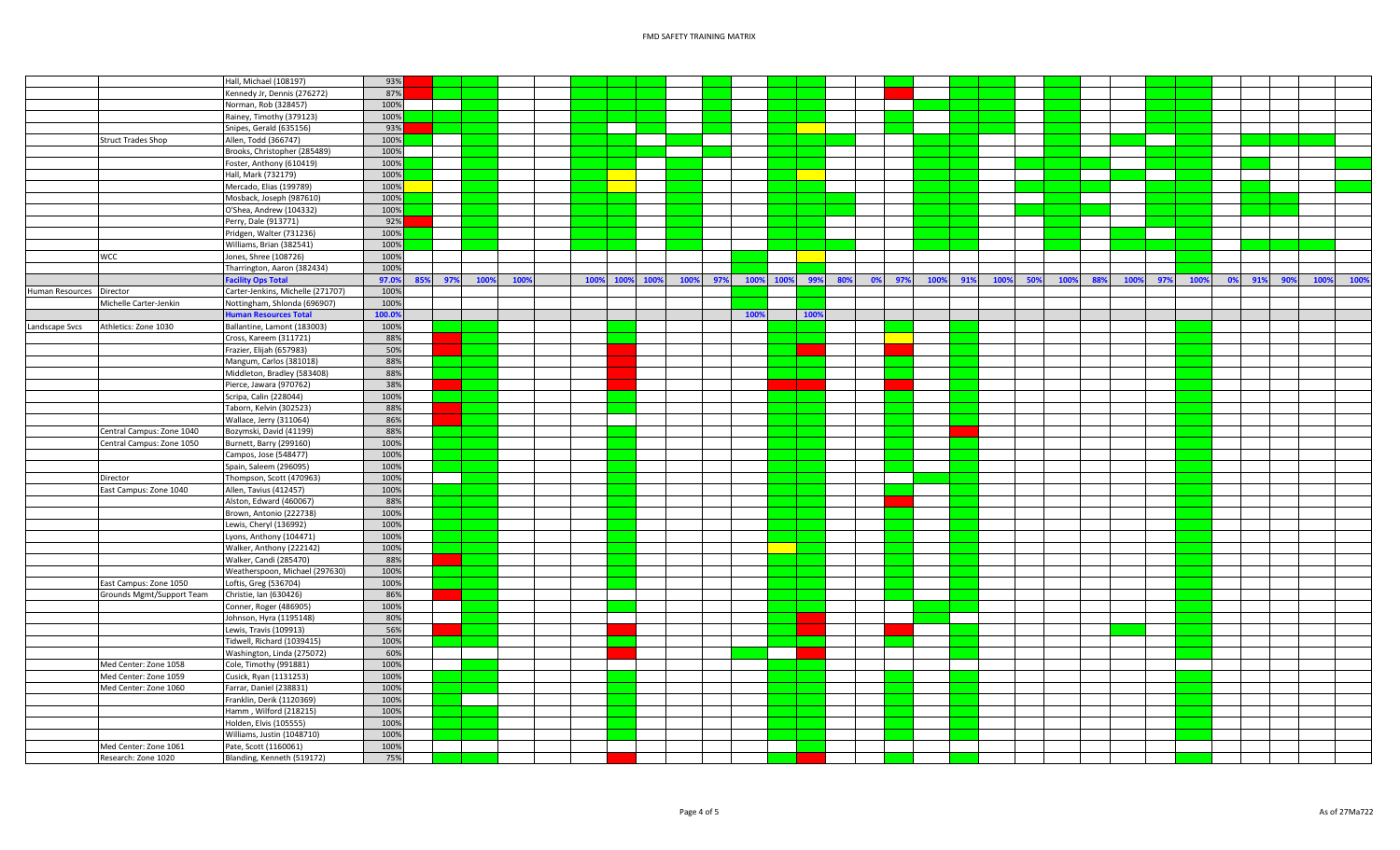|                 |                           | Hall, Michael (108197)            | 93%          |     |      |      |  |           |      |      |     |      |      |      |     |         |     |      |     |      |     |      |     |      |     |      |    |            |      |      |
|-----------------|---------------------------|-----------------------------------|--------------|-----|------|------|--|-----------|------|------|-----|------|------|------|-----|---------|-----|------|-----|------|-----|------|-----|------|-----|------|----|------------|------|------|
|                 |                           | Kennedy Jr, Dennis (276272)       | 87%          |     |      |      |  |           |      |      |     |      |      |      |     |         |     |      |     |      |     |      |     |      |     |      |    |            |      |      |
|                 |                           | Norman, Rob (328457)              | 100%         |     |      |      |  |           |      |      |     |      |      |      |     |         |     |      |     |      |     |      |     |      |     |      |    |            |      |      |
|                 |                           | Rainey, Timothy (379123)          | 100%         |     |      |      |  |           |      |      |     |      |      |      |     |         |     |      |     |      |     |      |     |      |     |      |    |            |      |      |
|                 |                           | Snipes, Gerald (635156)           | 93%          |     |      |      |  |           |      |      |     |      |      |      |     |         |     |      |     |      |     |      |     |      |     |      |    |            |      |      |
|                 | <b>Struct Trades Shop</b> | Allen, Todd (366747)              | 100%         |     |      |      |  |           |      |      |     |      |      |      |     |         |     |      |     |      |     |      |     |      |     |      |    |            |      |      |
|                 |                           | Brooks, Christopher (285489)      | 100%         |     |      |      |  |           |      |      |     |      |      |      |     |         |     |      |     |      |     |      |     |      |     |      |    |            |      |      |
|                 |                           | Foster, Anthony (610419)          | 100%         |     |      |      |  |           |      |      |     |      |      |      |     |         |     |      |     |      |     |      |     |      |     |      |    |            |      |      |
|                 |                           | Hall, Mark (732179)               | 100%         |     |      |      |  |           |      |      |     |      |      |      |     |         |     |      |     |      |     |      |     |      |     |      |    |            |      |      |
|                 |                           | Mercado, Elias (199789)           | 100%         |     |      |      |  |           |      |      |     |      |      |      |     |         |     |      |     |      |     |      |     |      |     |      |    |            |      |      |
|                 |                           | Mosback, Joseph (987610)          | 100%         |     |      |      |  |           |      |      |     |      |      |      |     |         |     |      |     |      |     |      |     |      |     |      |    |            |      |      |
|                 |                           | O'Shea, Andrew (104332)           | 100%         |     |      |      |  |           |      |      |     |      |      |      |     |         |     |      |     |      |     |      |     |      |     |      |    |            |      |      |
|                 |                           | Perry, Dale (913771)              | 92%          |     |      |      |  |           |      |      |     |      |      |      |     |         |     |      |     |      |     |      |     |      |     |      |    |            |      |      |
|                 |                           | Pridgen, Walter (731236)          | 100%         |     |      |      |  |           |      |      |     |      |      |      |     |         |     |      |     |      |     |      |     |      |     |      |    |            |      |      |
|                 |                           | Williams, Brian (382541)          | 100%         |     |      |      |  |           |      |      |     |      |      |      |     |         |     |      |     |      |     |      |     |      |     |      |    |            |      |      |
|                 | <b>WCC</b>                | Jones, Shree (108726)             | 100%         |     |      |      |  |           |      |      |     |      |      |      |     |         |     |      |     |      |     |      |     |      |     |      |    |            |      |      |
|                 |                           | Tharrington, Aaron (382434)       | 100%         |     |      |      |  |           |      |      |     |      |      |      |     |         |     |      |     |      |     |      |     |      |     |      |    |            |      |      |
|                 |                           | <b>Facility Ops Total</b>         | 97.0%<br>85% | 97% | 100% | 1009 |  | 100% 100% | 100% | 100% | 97% | 100% | 100% | 99%  | 80% | $ 0\% $ | 97% | 100% | 91% | 100% | 50% | 100% | 88% | 100% | 97% | 100% | 0% | 91%<br>90% | 100% | 100% |
| Human Resources | Director                  | Carter-Jenkins, Michelle (271707) | 100%         |     |      |      |  |           |      |      |     |      |      |      |     |         |     |      |     |      |     |      |     |      |     |      |    |            |      |      |
|                 | Michelle Carter-Jenkin    | Nottingham, Shlonda (696907)      | 100%         |     |      |      |  |           |      |      |     |      |      |      |     |         |     |      |     |      |     |      |     |      |     |      |    |            |      |      |
|                 |                           | uman Resources Total              | 100.0%       |     |      |      |  |           |      |      |     | 100% |      | 100% |     |         |     |      |     |      |     |      |     |      |     |      |    |            |      |      |
| Landscape Svcs  | Athletics: Zone 1030      | Ballantine, Lamont (183003)       | 100%         |     |      |      |  |           |      |      |     |      |      |      |     |         |     |      |     |      |     |      |     |      |     |      |    |            |      |      |
|                 |                           | Cross, Kareem (311721)            | 88%          |     |      |      |  |           |      |      |     |      |      |      |     |         |     |      |     |      |     |      |     |      |     |      |    |            |      |      |
|                 |                           | Frazier, Elijah (657983)          | 50%          |     |      |      |  |           |      |      |     |      |      |      |     |         |     |      |     |      |     |      |     |      |     |      |    |            |      |      |
|                 |                           | Mangum, Carlos (381018)           | 88%          |     |      |      |  |           |      |      |     |      |      |      |     |         |     |      |     |      |     |      |     |      |     |      |    |            |      |      |
|                 |                           | Middleton, Bradley (583408)       | 88%          |     |      |      |  |           |      |      |     |      |      |      |     |         |     |      |     |      |     |      |     |      |     |      |    |            |      |      |
|                 |                           | Pierce, Jawara (970762)           | 38%          |     |      |      |  |           |      |      |     |      |      |      |     |         |     |      |     |      |     |      |     |      |     |      |    |            |      |      |
|                 |                           | Scripa, Calin (228044)            | 100%         |     |      |      |  |           |      |      |     |      |      |      |     |         |     |      |     |      |     |      |     |      |     |      |    |            |      |      |
|                 |                           | Taborn, Kelvin (302523)           | 88%          |     |      |      |  |           |      |      |     |      |      |      |     |         |     |      |     |      |     |      |     |      |     |      |    |            |      |      |
|                 |                           | Wallace, Jerry (311064)           | 86%          |     |      |      |  |           |      |      |     |      |      |      |     |         |     |      |     |      |     |      |     |      |     |      |    |            |      |      |
|                 | Central Campus: Zone 1040 | Bozymski, David (41199)           | 88%          |     |      |      |  |           |      |      |     |      |      |      |     |         |     |      |     |      |     |      |     |      |     |      |    |            |      |      |
|                 | Central Campus: Zone 1050 | Burnett, Barry (299160)           | 100%         |     |      |      |  |           |      |      |     |      |      |      |     |         |     |      |     |      |     |      |     |      |     |      |    |            |      |      |
|                 |                           | Campos, Jose (548477)             | 100%         |     |      |      |  |           |      |      |     |      |      |      |     |         |     |      |     |      |     |      |     |      |     |      |    |            |      |      |
|                 |                           | Spain, Saleem (296095)            | 100%         |     |      |      |  |           |      |      |     |      |      |      |     |         |     |      |     |      |     |      |     |      |     |      |    |            |      |      |
|                 | Director                  | Thompson, Scott (470963)          | 100%         |     |      |      |  |           |      |      |     |      |      |      |     |         |     |      |     |      |     |      |     |      |     |      |    |            |      |      |
|                 | East Campus: Zone 1040    | Allen, Tavius (412457)            | 100%         |     |      |      |  |           |      |      |     |      |      |      |     |         |     |      |     |      |     |      |     |      |     |      |    |            |      |      |
|                 |                           | Alston, Edward (460067)           | 88%          |     |      |      |  |           |      |      |     |      |      |      |     |         |     |      |     |      |     |      |     |      |     |      |    |            |      |      |
|                 |                           | Brown, Antonio (222738)           | 100%         |     |      |      |  |           |      |      |     |      |      |      |     |         |     |      |     |      |     |      |     |      |     |      |    |            |      |      |
|                 |                           | Lewis, Cheryl (136992)            | 100%         |     |      |      |  |           |      |      |     |      |      |      |     |         |     |      |     |      |     |      |     |      |     |      |    |            |      |      |
|                 |                           | Lyons, Anthony (104471)           | 100%         |     |      |      |  |           |      |      |     |      |      |      |     |         |     |      |     |      |     |      |     |      |     |      |    |            |      |      |
|                 |                           | Walker, Anthony (222142)          | 100%         |     |      |      |  |           |      |      |     |      |      |      |     |         |     |      |     |      |     |      |     |      |     |      |    |            |      |      |
|                 |                           | Walker, Candi (285470)            | 88%          |     |      |      |  |           |      |      |     |      |      |      |     |         |     |      |     |      |     |      |     |      |     |      |    |            |      |      |
|                 |                           | Weatherspoon, Michael (297630)    | 100%         |     |      |      |  |           |      |      |     |      |      |      |     |         |     |      |     |      |     |      |     |      |     |      |    |            |      |      |
|                 | East Campus: Zone 1050    | Loftis, Greg (536704)             | 100%         |     |      |      |  |           |      |      |     |      |      |      |     |         |     |      |     |      |     |      |     |      |     |      |    |            |      |      |
|                 | Grounds Mgmt/Support Team | Christie, Ian (630426)            | 86%          |     |      |      |  |           |      |      |     |      |      |      |     |         |     |      |     |      |     |      |     |      |     |      |    |            |      |      |
|                 |                           | Conner, Roger (486905)            | 100%         |     |      |      |  |           |      |      |     |      |      |      |     |         |     |      |     |      |     |      |     |      |     |      |    |            |      |      |
|                 |                           | Iohnson, Hyra (1195148)           | 80%          |     |      |      |  |           |      |      |     |      |      |      |     |         |     |      |     |      |     |      |     |      |     |      |    |            |      |      |
|                 |                           | Lewis, Travis (109913)            | 56%          |     |      |      |  |           |      |      |     |      |      |      |     |         |     |      |     |      |     |      |     |      |     |      |    |            |      |      |
|                 |                           | Tidwell, Richard (1039415)        | 100%         |     |      |      |  |           |      |      |     |      |      |      |     |         |     |      |     |      |     |      |     |      |     |      |    |            |      |      |
|                 |                           | Washington, Linda (275072)        | 60%          |     |      |      |  |           |      |      |     |      |      |      |     |         |     |      |     |      |     |      |     |      |     |      |    |            |      |      |
|                 | Med Center: Zone 1058     | Cole, Timothy (991881)            | 100%         |     |      |      |  |           |      |      |     |      |      |      |     |         |     |      |     |      |     |      |     |      |     |      |    |            |      |      |
|                 | Med Center: Zone 1059     | Cusick, Ryan (1131253)            | 100%         |     |      |      |  |           |      |      |     |      |      |      |     |         |     |      |     |      |     |      |     |      |     |      |    |            |      |      |
|                 | Med Center: Zone 1060     | Farrar, Daniel (238831)           | 100%         |     |      |      |  |           |      |      |     |      |      |      |     |         |     |      |     |      |     |      |     |      |     |      |    |            |      |      |
|                 |                           | Franklin, Derik (1120369)         | 100%         |     |      |      |  |           |      |      |     |      |      |      |     |         |     |      |     |      |     |      |     |      |     |      |    |            |      |      |
|                 |                           | Hamm, Wilford (218215)            | 100%         |     |      |      |  |           |      |      |     |      |      |      |     |         |     |      |     |      |     |      |     |      |     |      |    |            |      |      |
|                 |                           | Holden, Elvis (105555)            | 100%         |     |      |      |  |           |      |      |     |      |      |      |     |         |     |      |     |      |     |      |     |      |     |      |    |            |      |      |
|                 |                           | Williams, Justin (1048710)        | 100%         |     |      |      |  |           |      |      |     |      |      |      |     |         |     |      |     |      |     |      |     |      |     |      |    |            |      |      |
|                 | Med Center: Zone 1061     | Pate, Scott (1160061)             | 100%         |     |      |      |  |           |      |      |     |      |      |      |     |         |     |      |     |      |     |      |     |      |     |      |    |            |      |      |
|                 | Research: Zone 1020       | Blanding, Kenneth (519172)        | 75%          |     |      |      |  |           |      |      |     |      |      |      |     |         |     |      |     |      |     |      |     |      |     |      |    |            |      |      |
|                 |                           |                                   |              |     |      |      |  |           |      |      |     |      |      |      |     |         |     |      |     |      |     |      |     |      |     |      |    |            |      |      |